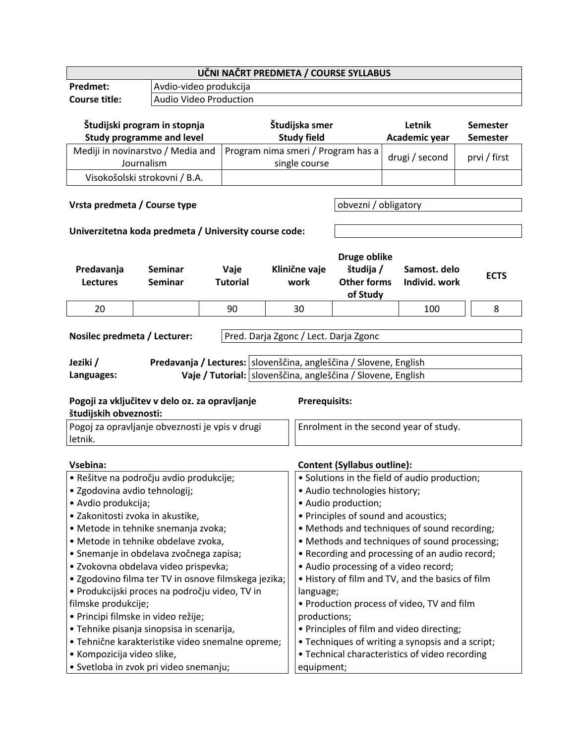| UČNI NAČRT PREDMETA / COURSE SYLLABUS                                    |                                                                   |  |                 |                                                  |                                               |                                                             |                                      |  |                 |
|--------------------------------------------------------------------------|-------------------------------------------------------------------|--|-----------------|--------------------------------------------------|-----------------------------------------------|-------------------------------------------------------------|--------------------------------------|--|-----------------|
| Predmet:                                                                 | Avdio-video produkcija                                            |  |                 |                                                  |                                               |                                                             |                                      |  |                 |
| <b>Course title:</b>                                                     | Audio Video Production                                            |  |                 |                                                  |                                               |                                                             |                                      |  |                 |
|                                                                          |                                                                   |  |                 |                                                  |                                               |                                                             |                                      |  |                 |
|                                                                          | Študijski program in stopnja                                      |  |                 |                                                  | Študijska smer                                |                                                             | Letnik                               |  | <b>Semester</b> |
|                                                                          | <b>Study programme and level</b>                                  |  |                 |                                                  | <b>Study field</b>                            |                                                             | Academic year                        |  | <b>Semester</b> |
|                                                                          | Mediji in novinarstvo / Media and                                 |  |                 |                                                  |                                               | Program nima smeri / Program has a                          |                                      |  |                 |
|                                                                          | Journalism                                                        |  |                 |                                                  | single course                                 |                                                             | drugi / second                       |  | prvi / first    |
|                                                                          | Visokošolski strokovni / B.A.                                     |  |                 |                                                  |                                               |                                                             |                                      |  |                 |
|                                                                          |                                                                   |  |                 |                                                  |                                               |                                                             |                                      |  |                 |
|                                                                          | Vrsta predmeta / Course type                                      |  |                 |                                                  |                                               | obvezni / obligatory                                        |                                      |  |                 |
|                                                                          |                                                                   |  |                 |                                                  |                                               |                                                             |                                      |  |                 |
|                                                                          | Univerzitetna koda predmeta / University course code:             |  |                 |                                                  |                                               |                                                             |                                      |  |                 |
|                                                                          |                                                                   |  |                 |                                                  |                                               |                                                             |                                      |  |                 |
|                                                                          |                                                                   |  |                 |                                                  |                                               | Druge oblike                                                |                                      |  |                 |
| Predavanja                                                               | Seminar                                                           |  | Vaje            |                                                  | Klinične vaje                                 | študija /                                                   | Samost. delo                         |  |                 |
| <b>Lectures</b>                                                          | <b>Seminar</b>                                                    |  | <b>Tutorial</b> |                                                  | work                                          | <b>Other forms</b>                                          | Individ. work                        |  | <b>ECTS</b>     |
|                                                                          |                                                                   |  |                 |                                                  |                                               | of Study                                                    |                                      |  |                 |
| 20                                                                       |                                                                   |  | 90              |                                                  | 30                                            |                                                             | 100                                  |  | 8               |
|                                                                          |                                                                   |  |                 |                                                  |                                               |                                                             |                                      |  |                 |
| Nosilec predmeta / Lecturer:                                             |                                                                   |  |                 |                                                  |                                               | Pred. Darja Zgonc / Lect. Darja Zgonc                       |                                      |  |                 |
|                                                                          |                                                                   |  |                 |                                                  |                                               |                                                             |                                      |  |                 |
| Jeziki /                                                                 | Predavanja / Lectures: slovenščina, angleščina / Slovene, English |  |                 |                                                  |                                               |                                                             |                                      |  |                 |
| Languages:                                                               |                                                                   |  |                 |                                                  |                                               | Vaje / Tutorial: slovenščina, angleščina / Slovene, English |                                      |  |                 |
|                                                                          |                                                                   |  |                 |                                                  |                                               |                                                             |                                      |  |                 |
|                                                                          |                                                                   |  |                 |                                                  | <b>Prerequisits:</b>                          |                                                             |                                      |  |                 |
| Pogoji za vključitev v delo oz. za opravljanje<br>študijskih obveznosti: |                                                                   |  |                 |                                                  |                                               |                                                             |                                      |  |                 |
|                                                                          | Pogoj za opravljanje obveznosti je vpis v drugi                   |  |                 |                                                  | Enrolment in the second year of study.        |                                                             |                                      |  |                 |
| letnik.                                                                  |                                                                   |  |                 |                                                  |                                               |                                                             |                                      |  |                 |
|                                                                          |                                                                   |  |                 |                                                  |                                               |                                                             |                                      |  |                 |
| Vsebina:                                                                 |                                                                   |  |                 |                                                  |                                               | <b>Content (Syllabus outline):</b>                          |                                      |  |                 |
|                                                                          | · Rešitve na področju avdio produkcije;                           |  |                 |                                                  | · Solutions in the field of audio production; |                                                             |                                      |  |                 |
|                                                                          | · Zgodovina avdio tehnologij;                                     |  |                 |                                                  | · Audio technologies history;                 |                                                             |                                      |  |                 |
| • Avdio produkcija;                                                      |                                                                   |  |                 |                                                  | • Audio production;                           |                                                             |                                      |  |                 |
|                                                                          | · Zakonitosti zvoka in akustike,                                  |  |                 |                                                  |                                               |                                                             | • Principles of sound and acoustics; |  |                 |
| · Metode in tehnike snemanja zvoka;                                      |                                                                   |  |                 | • Methods and techniques of sound recording;     |                                               |                                                             |                                      |  |                 |
| · Metode in tehnike obdelave zvoka,                                      |                                                                   |  |                 | • Methods and techniques of sound processing;    |                                               |                                                             |                                      |  |                 |
| · Snemanje in obdelava zvočnega zapisa;                                  |                                                                   |  |                 | • Recording and processing of an audio record;   |                                               |                                                             |                                      |  |                 |
| · Zvokovna obdelava video prispevka;                                     |                                                                   |  |                 | • Audio processing of a video record;            |                                               |                                                             |                                      |  |                 |
| • Zgodovino filma ter TV in osnove filmskega jezika;                     |                                                                   |  |                 | . History of film and TV, and the basics of film |                                               |                                                             |                                      |  |                 |
| · Produkcijski proces na področju video, TV in                           |                                                                   |  |                 | language;                                        |                                               |                                                             |                                      |  |                 |
| filmske produkcije;                                                      |                                                                   |  |                 | • Production process of video, TV and film       |                                               |                                                             |                                      |  |                 |
| · Principi filmske in video režije;                                      |                                                                   |  |                 | productions;                                     |                                               |                                                             |                                      |  |                 |
| • Tehnike pisanja sinopsisa in scenarija,                                |                                                                   |  |                 | • Principles of film and video directing;        |                                               |                                                             |                                      |  |                 |
| · Tehnične karakteristike video snemalne opreme;                         |                                                                   |  |                 | • Techniques of writing a synopsis and a script; |                                               |                                                             |                                      |  |                 |
| • Kompozicija video slike,                                               |                                                                   |  |                 | • Technical characteristics of video recording   |                                               |                                                             |                                      |  |                 |
| · Svetloba in zvok pri video snemanju;                                   |                                                                   |  |                 | equipment;                                       |                                               |                                                             |                                      |  |                 |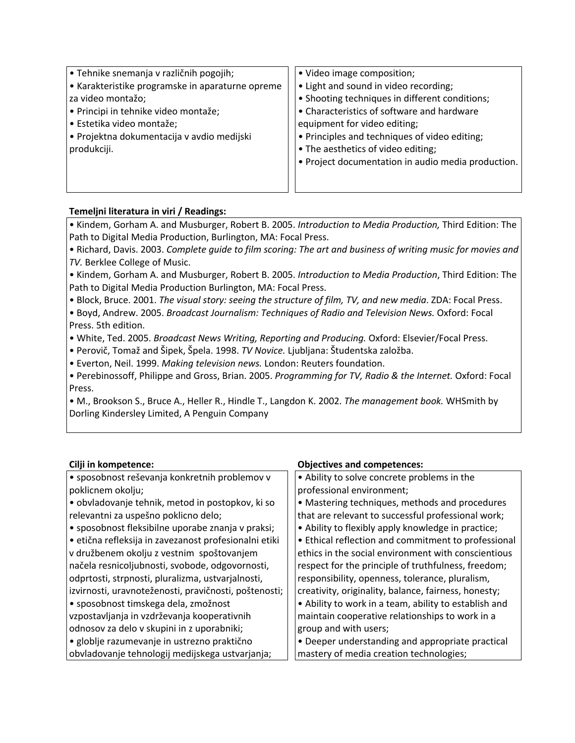| $\cdot$ Tehnike snemanja v različnih pogojih;    | • Video image composition;                         |
|--------------------------------------------------|----------------------------------------------------|
| • Karakteristike programske in aparaturne opreme | • Light and sound in video recording;              |
| za video montažo;                                | • Shooting techniques in different conditions;     |
| • Principi in tehnike video montaže;             | • Characteristics of software and hardware         |
| Estetika video montaže;                          | equipment for video editing;                       |
| $\cdot$ Projektna dokumentacija v avdio medijski | • Principles and techniques of video editing;      |
| produkciji.                                      | • The aesthetics of video editing;                 |
|                                                  | • Project documentation in audio media production. |
|                                                  |                                                    |
|                                                  |                                                    |

## **Temeljni literatura in viri / Readings:**

• Kindem, Gorham A. and Musburger, Robert B. 2005. *Introduction to Media Production,* Third Edition: The Path to Digital Media Production, Burlington, MA: Focal Press.

• Richard, Davis. 2003. *Complete guide to film scoring: The art and business of writing music for movies and TV.* Berklee College of Music.

• Kindem, Gorham A. and Musburger, Robert B. 2005. *Introduction to Media Production*, Third Edition: The Path to Digital Media Production Burlington, MA: Focal Press.

• Block, Bruce. 2001. *The visual story: seeing the structure of film, TV, and new media*. ZDA: Focal Press. • Boyd, Andrew. 2005. *Broadcast Journalism: Techniques of Radio and Television News.* Oxford: Focal

Press. 5th edition.

• White, Ted. 2005. *Broadcast News Writing, Reporting and Producing.* Oxford: Elsevier/Focal Press.

• Perovič, Tomaž and Šipek, Špela. 1998. *TV Novice.* Ljubljana: Študentska založba.

• Everton, Neil. 1999. *Making television news.* London: Reuters foundation.

• Perebinossoff, Philippe and Gross, Brian. 2005. *Programming for TV, Radio & the Internet.* Oxford: Focal Press.

• M., Brookson S., Bruce A., Heller R., Hindle T., Langdon K. 2002. *The management book.* WHSmith by Dorling Kindersley Limited, A Penguin Company

| · sposobnost reševanja konkretnih problemov v<br>• Ability to solve concrete problems in the<br>poklicnem okolju;<br>professional environment;<br>· obvladovanje tehnik, metod in postopkov, ki so<br>• Mastering techniques, methods and procedures<br>relevantni za uspešno poklicno delo;<br>that are relevant to successful professional work;<br>• sposobnost fleksibilne uporabe znanja v praksi;<br>• Ability to flexibly apply knowledge in practice;<br>· etična refleksija in zavezanost profesionalni etiki<br>• Ethical reflection and commitment to professional |
|-------------------------------------------------------------------------------------------------------------------------------------------------------------------------------------------------------------------------------------------------------------------------------------------------------------------------------------------------------------------------------------------------------------------------------------------------------------------------------------------------------------------------------------------------------------------------------|
|                                                                                                                                                                                                                                                                                                                                                                                                                                                                                                                                                                               |
|                                                                                                                                                                                                                                                                                                                                                                                                                                                                                                                                                                               |
|                                                                                                                                                                                                                                                                                                                                                                                                                                                                                                                                                                               |
|                                                                                                                                                                                                                                                                                                                                                                                                                                                                                                                                                                               |
|                                                                                                                                                                                                                                                                                                                                                                                                                                                                                                                                                                               |
|                                                                                                                                                                                                                                                                                                                                                                                                                                                                                                                                                                               |
| v družbenem okolju z vestnim spoštovanjem<br>ethics in the social environment with conscientious                                                                                                                                                                                                                                                                                                                                                                                                                                                                              |
| načela resnicoljubnosti, svobode, odgovornosti,<br>respect for the principle of truthfulness, freedom;                                                                                                                                                                                                                                                                                                                                                                                                                                                                        |
| odprtosti, strpnosti, pluralizma, ustvarjalnosti,<br>responsibility, openness, tolerance, pluralism,                                                                                                                                                                                                                                                                                                                                                                                                                                                                          |
| izvirnosti, uravnoteženosti, pravičnosti, poštenosti;<br>creativity, originality, balance, fairness, honesty;                                                                                                                                                                                                                                                                                                                                                                                                                                                                 |
| • sposobnost timskega dela, zmožnost<br>• Ability to work in a team, ability to establish and                                                                                                                                                                                                                                                                                                                                                                                                                                                                                 |
| vzpostavljanja in vzdrževanja kooperativnih<br>maintain cooperative relationships to work in a                                                                                                                                                                                                                                                                                                                                                                                                                                                                                |
| odnosov za delo v skupini in z uporabniki;<br>group and with users;                                                                                                                                                                                                                                                                                                                                                                                                                                                                                                           |
| · globlje razumevanje in ustrezno praktično<br>• Deeper understanding and appropriate practical                                                                                                                                                                                                                                                                                                                                                                                                                                                                               |
| obvladovanje tehnologij medijskega ustvarjanja;<br>mastery of media creation technologies;                                                                                                                                                                                                                                                                                                                                                                                                                                                                                    |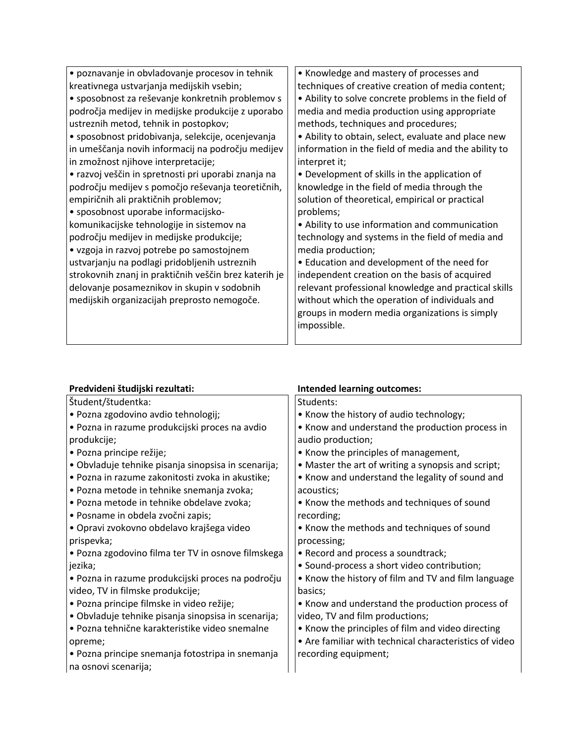| · poznavanje in obvladovanje procesov in tehnik       | • Knowledge and mastery of processes and             |
|-------------------------------------------------------|------------------------------------------------------|
| kreativnega ustvarjanja medijskih vsebin;             | techniques of creative creation of media content;    |
| · sposobnost za reševanje konkretnih problemov s      | • Ability to solve concrete problems in the field of |
| področja medijev in medijske produkcije z uporabo     | media and media production using appropriate         |
| ustreznih metod, tehnik in postopkov;                 | methods, techniques and procedures;                  |
| • sposobnost pridobivanja, selekcije, ocenjevanja     | • Ability to obtain, select, evaluate and place new  |
| in umeščanja novih informacij na področju medijev     | information in the field of media and the ability to |
| in zmožnost njihove interpretacije;                   | interpret it;                                        |
| • razvoj veščin in spretnosti pri uporabi znanja na   | • Development of skills in the application of        |
| področju medijev s pomočjo reševanja teoretičnih,     | knowledge in the field of media through the          |
| empiričnih ali praktičnih problemov;                  | solution of theoretical, empirical or practical      |
| • sposobnost uporabe informacijsko-                   | problems;                                            |
| komunikacijske tehnologije in sistemov na             | • Ability to use information and communication       |
| področju medijev in medijske produkcije;              | technology and systems in the field of media and     |
| • vzgoja in razvoj potrebe po samostojnem             | media production;                                    |
| ustvarjanju na podlagi pridobljenih ustreznih         | • Education and development of the need for          |
| strokovnih znanj in praktičnih veščin brez katerih je | independent creation on the basis of acquired        |
| delovanje posameznikov in skupin v sodobnih           | relevant professional knowledge and practical skills |
| medijskih organizacijah preprosto nemogoče.           | without which the operation of individuals and       |
|                                                       | groups in modern media organizations is simply       |
|                                                       | impossible.                                          |
|                                                       |                                                      |

| Predvideni študijski rezultati:                     | <b>Intended learning outcomes:</b>                     |
|-----------------------------------------------------|--------------------------------------------------------|
| Študent/študentka:                                  | Students:                                              |
| · Pozna zgodovino avdio tehnologij;                 | • Know the history of audio technology;                |
| · Pozna in razume produkcijski proces na avdio      | • Know and understand the production process in        |
| produkcije;                                         | audio production;                                      |
| · Pozna principe režije;                            | • Know the principles of management,                   |
| · Obvladuje tehnike pisanja sinopsisa in scenarija; | • Master the art of writing a synopsis and script;     |
| · Pozna in razume zakonitosti zvoka in akustike;    | • Know and understand the legality of sound and        |
| • Pozna metode in tehnike snemanja zvoka;           | acoustics;                                             |
| · Pozna metode in tehnike obdelave zvoka;           | • Know the methods and techniques of sound             |
| · Posname in obdela zvočni zapis;                   | recording;                                             |
| · Opravi zvokovno obdelavo krajšega video           | • Know the methods and techniques of sound             |
| prispevka;                                          | processing;                                            |
| · Pozna zgodovino filma ter TV in osnove filmskega  | • Record and process a soundtrack;                     |
| jezika;                                             | • Sound-process a short video contribution;            |
| · Pozna in razume produkcijski proces na področju   | • Know the history of film and TV and film language    |
| video, TV in filmske produkcije;                    | basics;                                                |
| · Pozna principe filmske in video režije;           | • Know and understand the production process of        |
| · Obvladuje tehnike pisanja sinopsisa in scenarija; | video, TV and film productions;                        |
| · Pozna tehnične karakteristike video snemalne      | • Know the principles of film and video directing      |
| opreme;                                             | • Are familiar with technical characteristics of video |
| • Pozna principe snemanja fotostripa in snemanja    | recording equipment;                                   |
| na osnovi scenarija;                                |                                                        |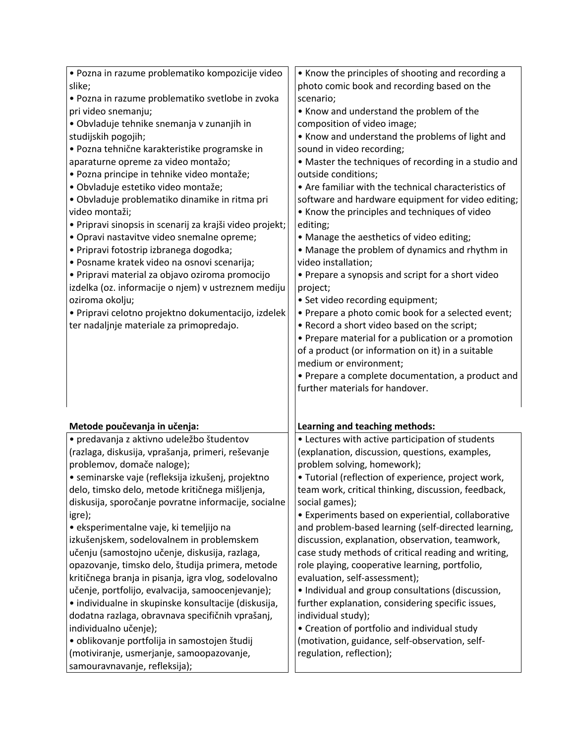| · Pozna in razume problematiko kompozicije video                                           | • Know the principles of shooting and recording a                          |
|--------------------------------------------------------------------------------------------|----------------------------------------------------------------------------|
| slike;                                                                                     | photo comic book and recording based on the                                |
| · Pozna in razume problematiko svetlobe in zvoka                                           | scenario;                                                                  |
| pri video snemanju;                                                                        | • Know and understand the problem of the                                   |
| · Obvladuje tehnike snemanja v zunanjih in                                                 | composition of video image;                                                |
| studijskih pogojih;                                                                        | • Know and understand the problems of light and                            |
| · Pozna tehnične karakteristike programske in                                              | sound in video recording;                                                  |
| aparaturne opreme za video montažo;                                                        | • Master the techniques of recording in a studio and                       |
| · Pozna principe in tehnike video montaže;                                                 | outside conditions;                                                        |
| · Obvladuje estetiko video montaže;                                                        | • Are familiar with the technical characteristics of                       |
| · Obvladuje problematiko dinamike in ritma pri                                             | software and hardware equipment for video editing;                         |
| video montaži;                                                                             | • Know the principles and techniques of video                              |
| · Pripravi sinopsis in scenarij za krajši video projekt;                                   | editing;                                                                   |
| · Opravi nastavitve video snemalne opreme;                                                 | • Manage the aesthetics of video editing;                                  |
| · Pripravi fotostrip izbranega dogodka;                                                    | • Manage the problem of dynamics and rhythm in                             |
| · Posname kratek video na osnovi scenarija;                                                | video installation;                                                        |
| · Pripravi material za objavo oziroma promocijo                                            | • Prepare a synopsis and script for a short video                          |
| izdelka (oz. informacije o njem) v ustreznem mediju                                        | project;                                                                   |
| oziroma okolju;                                                                            | • Set video recording equipment;                                           |
| · Pripravi celotno projektno dokumentacijo, izdelek                                        | • Prepare a photo comic book for a selected event;                         |
| ter nadaljnje materiale za primopredajo.                                                   | . Record a short video based on the script;                                |
|                                                                                            | • Prepare material for a publication or a promotion                        |
|                                                                                            | of a product (or information on it) in a suitable                          |
|                                                                                            | medium or environment;                                                     |
|                                                                                            | • Prepare a complete documentation, a product and                          |
|                                                                                            | further materials for handover.                                            |
|                                                                                            |                                                                            |
|                                                                                            |                                                                            |
| Metode poučevanja in učenja:                                                               | Learning and teaching methods:                                             |
| · predavanja z aktivno udeležbo študentov                                                  | • Lectures with active participation of students                           |
| (razlaga, diskusija, vprašanja, primeri, reševanje                                         | (explanation, discussion, questions, examples,                             |
| problemov, domače naloge);                                                                 | problem solving, homework);                                                |
| · seminarske vaje (refleksija izkušenj, projektno                                          | · Tutorial (reflection of experience, project work,                        |
| delo, timsko delo, metode kritičnega mišljenja,                                            | team work, critical thinking, discussion, feedback,                        |
| diskusija, sporočanje povratne informacije, socialne                                       | social games);                                                             |
| igre);                                                                                     | • Experiments based on experiential, collaborative                         |
| · eksperimentalne vaje, ki temeljijo na                                                    | and problem-based learning (self-directed learning,                        |
| izkušenjskem, sodelovalnem in problemskem                                                  | discussion, explanation, observation, teamwork,                            |
| učenju (samostojno učenje, diskusija, razlaga,                                             | case study methods of critical reading and writing,                        |
| opazovanje, timsko delo, študija primera, metode                                           | role playing, cooperative learning, portfolio,                             |
| kritičnega branja in pisanja, igra vlog, sodelovalno                                       | evaluation, self-assessment);                                              |
| učenje, portfolijo, evalvacija, samoocenjevanje);                                          | • Individual and group consultations (discussion,                          |
| • individualne in skupinske konsultacije (diskusija,                                       | further explanation, considering specific issues,                          |
| dodatna razlaga, obravnava specifičnih vprašanj,                                           | individual study);                                                         |
|                                                                                            |                                                                            |
|                                                                                            |                                                                            |
| individualno učenje);                                                                      | • Creation of portfolio and individual study                               |
| · oblikovanje portfolija in samostojen študij<br>(motiviranje, usmerjanje, samoopazovanje, | (motivation, guidance, self-observation, self-<br>regulation, reflection); |